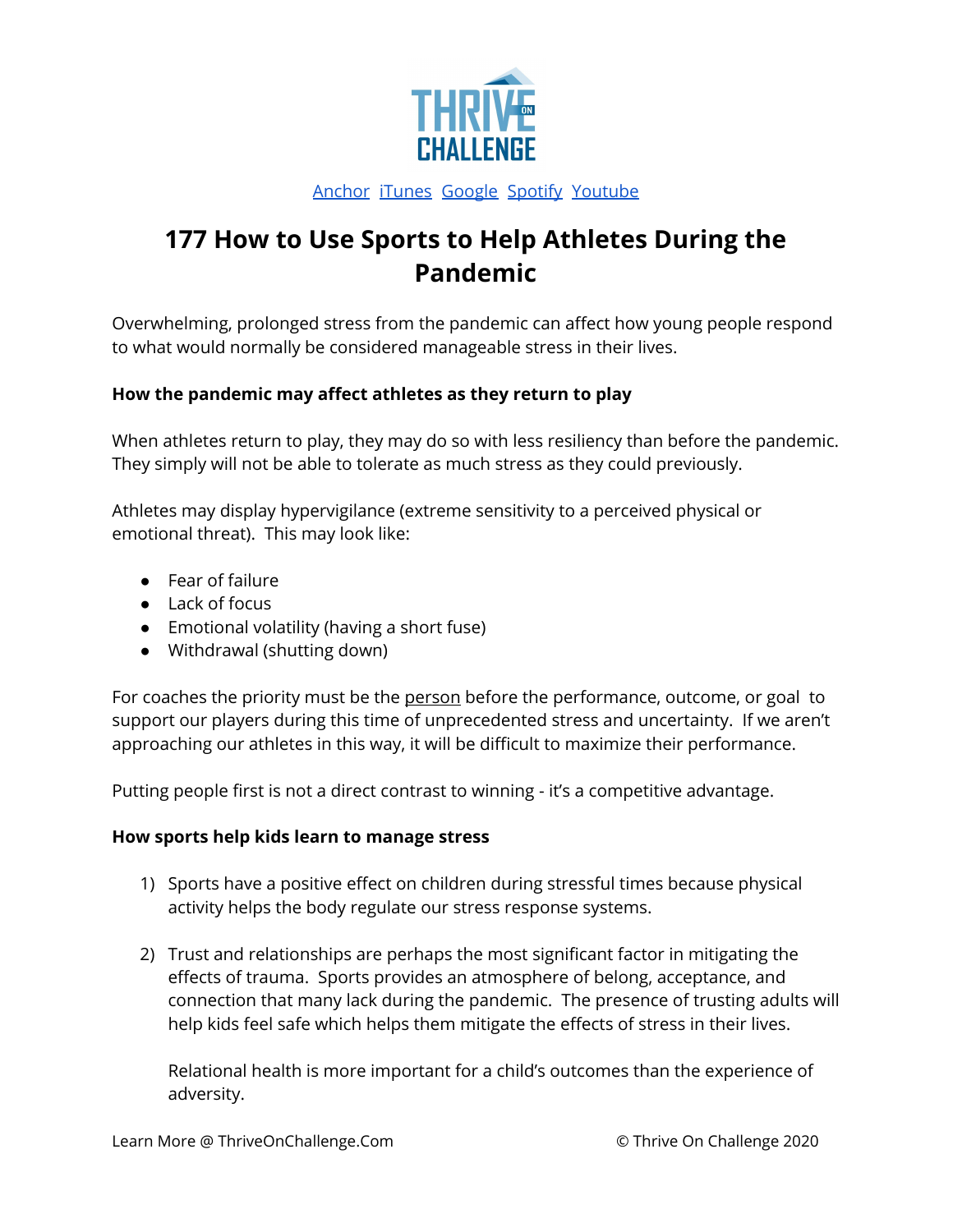

## [Anchor](https://anchor.fm/coachingculturepodcast) [iTunes](https://podcasts.apple.com/us/podcast/coaching-culture/id1286560192) [Google](https://podcasts.google.com/feed/aHR0cHM6Ly9mZWVkcy5zb3VuZGNsb3VkLmNvbS91c2Vycy9zb3VuZGNsb3VkOnVzZXJzOjQxMDQyNzcvc291bmRzLnJzcw?ved=2ahUKEwiSpYquy9vqAhVbQUEAHSAkC88Q4aUDegQIARAC) [Spotify](https://open.spotify.com/show/336Hs8udk8s0yXuK3BzSOq) [Youtube](https://www.youtube.com/channel/UC3vIljCBzwHcPyVIx9kiHvw)

# **177 How to Use Sports to Help Athletes During the Pandemic**

Overwhelming, prolonged stress from the pandemic can affect how young people respond to what would normally be considered manageable stress in their lives.

### **How the pandemic may affect athletes as they return to play**

When athletes return to play, they may do so with less resiliency than before the pandemic. They simply will not be able to tolerate as much stress as they could previously.

Athletes may display hypervigilance (extreme sensitivity to a perceived physical or emotional threat). This may look like:

- Fear of failure
- Lack of focus
- Emotional volatility (having a short fuse)
- Withdrawal (shutting down)

For coaches the priority must be the person before the performance, outcome, or goal to support our players during this time of unprecedented stress and uncertainty. If we aren't approaching our athletes in this way, it will be difficult to maximize their performance.

Putting people first is not a direct contrast to winning - it's a competitive advantage.

### **How sports help kids learn to manage stress**

- 1) Sports have a positive effect on children during stressful times because physical activity helps the body regulate our stress response systems.
- 2) Trust and relationships are perhaps the most significant factor in mitigating the effects of trauma. Sports provides an atmosphere of belong, acceptance, and connection that many lack during the pandemic. The presence of trusting adults will help kids feel safe which helps them mitigate the effects of stress in their lives.

Relational health is more important for a child's outcomes than the experience of adversity.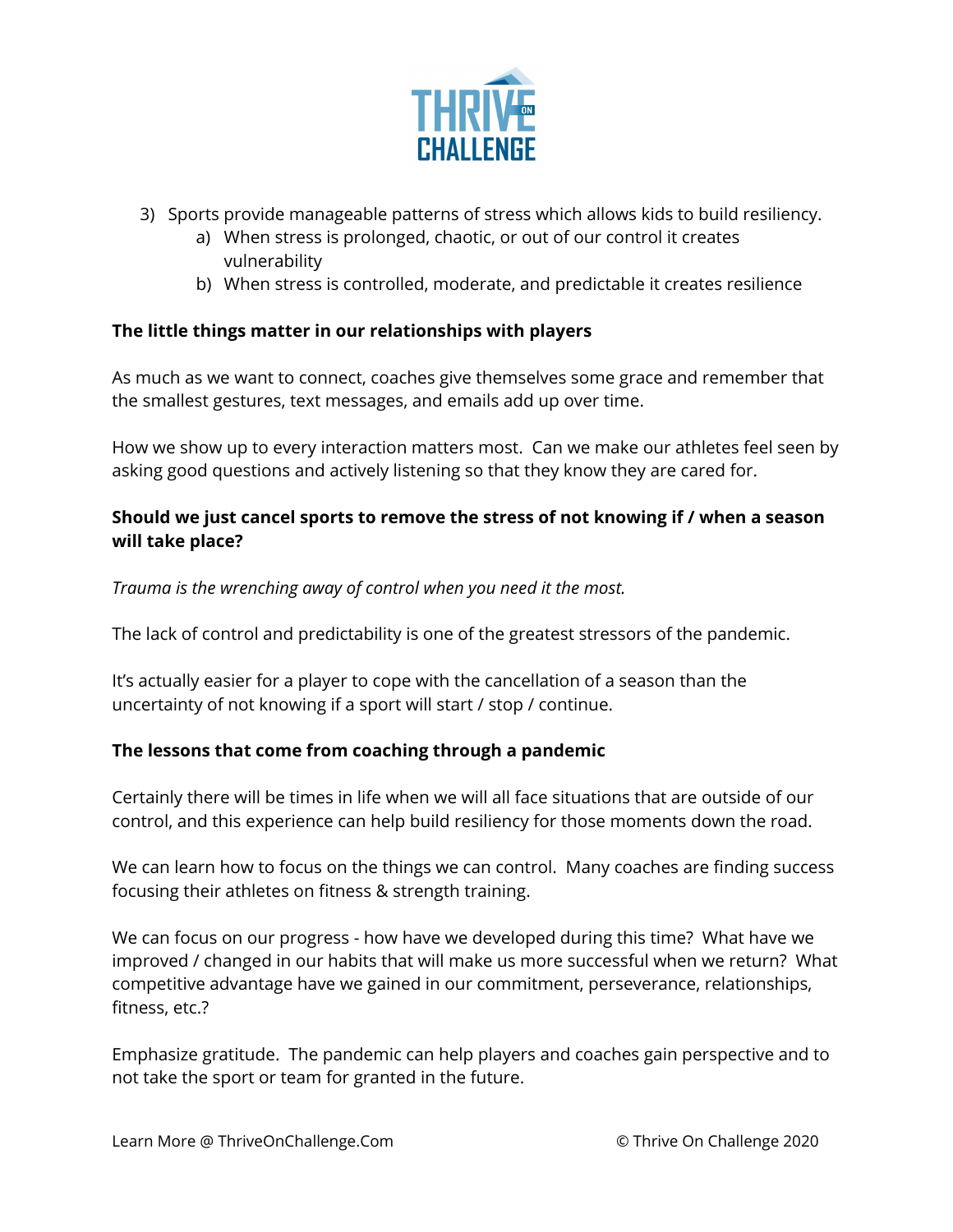

- 3) Sports provide manageable patterns of stress which allows kids to build resiliency.
	- a) When stress is prolonged, chaotic, or out of our control it creates vulnerability
	- b) When stress is controlled, moderate, and predictable it creates resilience

#### **The little things matter in our relationships with players**

As much as we want to connect, coaches give themselves some grace and remember that the smallest gestures, text messages, and emails add up over time.

How we show up to every interaction matters most. Can we make our athletes feel seen by asking good questions and actively listening so that they know they are cared for.

#### **Should we just cancel sports to remove the stress of not knowing if / when a season will take place?**

*Trauma is the wrenching away of control when you need it the most.*

The lack of control and predictability is one of the greatest stressors of the pandemic.

It's actually easier for a player to cope with the cancellation of a season than the uncertainty of not knowing if a sport will start / stop / continue.

### **The lessons that come from coaching through a pandemic**

Certainly there will be times in life when we will all face situations that are outside of our control, and this experience can help build resiliency for those moments down the road.

We can learn how to focus on the things we can control. Many coaches are finding success focusing their athletes on fitness & strength training.

We can focus on our progress - how have we developed during this time? What have we improved / changed in our habits that will make us more successful when we return? What competitive advantage have we gained in our commitment, perseverance, relationships, fitness, etc.?

Emphasize gratitude. The pandemic can help players and coaches gain perspective and to not take the sport or team for granted in the future.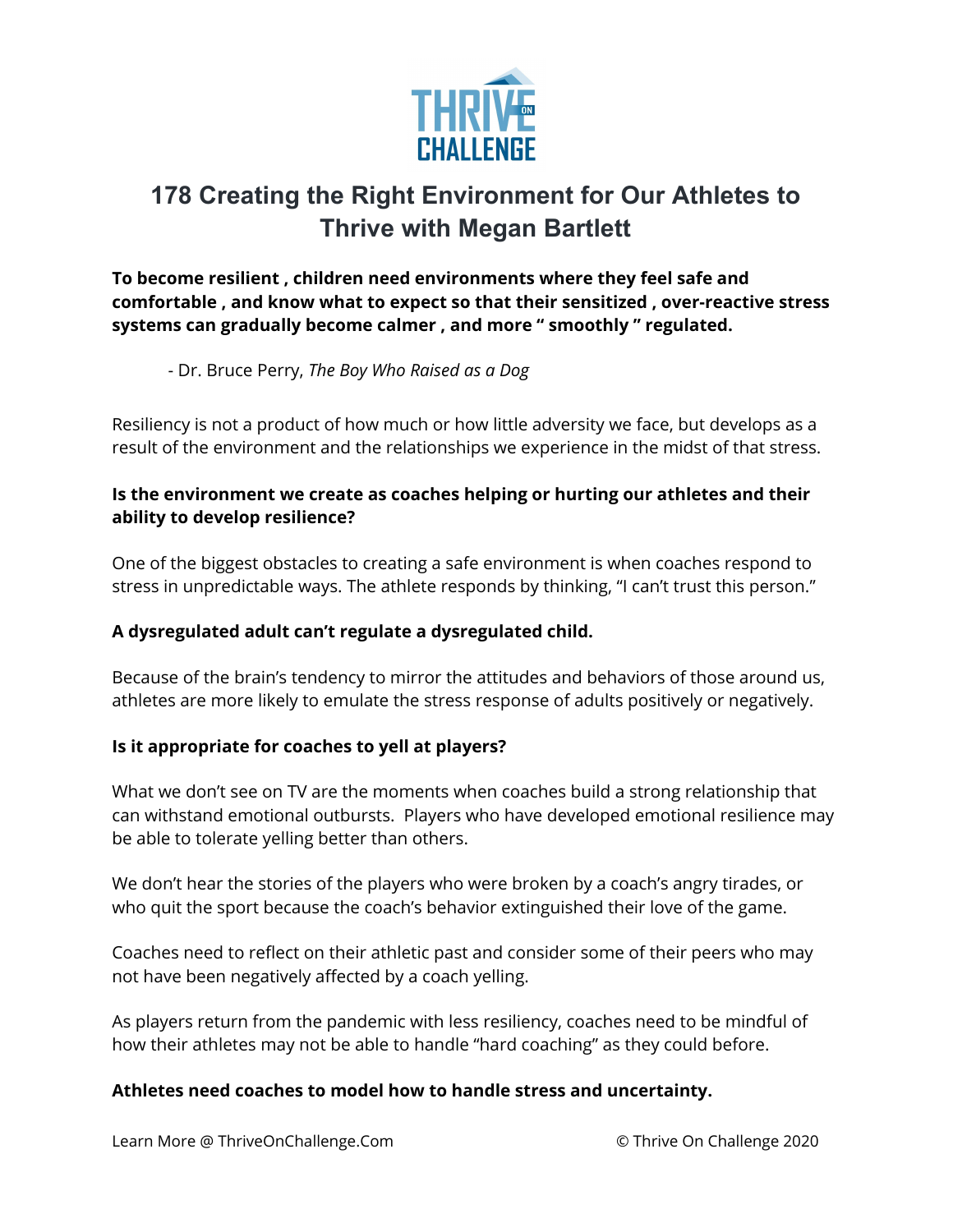

# **178 Creating the Right Environment for Our Athletes to Thrive with Megan Bartlett**

**To become resilient , children need environments where they feel safe and comfortable , and know what to expect so that their sensitized , over-reactive stress systems can gradually become calmer , and more " smoothly " regulated.**

- Dr. Bruce Perry, *The Boy Who Raised as a Dog*

Resiliency is not a product of how much or how little adversity we face, but develops as a result of the environment and the relationships we experience in the midst of that stress.

### **Is the environment we create as coaches helping or hurting our athletes and their ability to develop resilience?**

One of the biggest obstacles to creating a safe environment is when coaches respond to stress in unpredictable ways. The athlete responds by thinking, "I can't trust this person."

### **A dysregulated adult can't regulate a dysregulated child.**

Because of the brain's tendency to mirror the attitudes and behaviors of those around us, athletes are more likely to emulate the stress response of adults positively or negatively.

### **Is it appropriate for coaches to yell at players?**

What we don't see on TV are the moments when coaches build a strong relationship that can withstand emotional outbursts. Players who have developed emotional resilience may be able to tolerate yelling better than others.

We don't hear the stories of the players who were broken by a coach's angry tirades, or who quit the sport because the coach's behavior extinguished their love of the game.

Coaches need to reflect on their athletic past and consider some of their peers who may not have been negatively affected by a coach yelling.

As players return from the pandemic with less resiliency, coaches need to be mindful of how their athletes may not be able to handle "hard coaching" as they could before.

### **Athletes need coaches to model how to handle stress and uncertainty.**